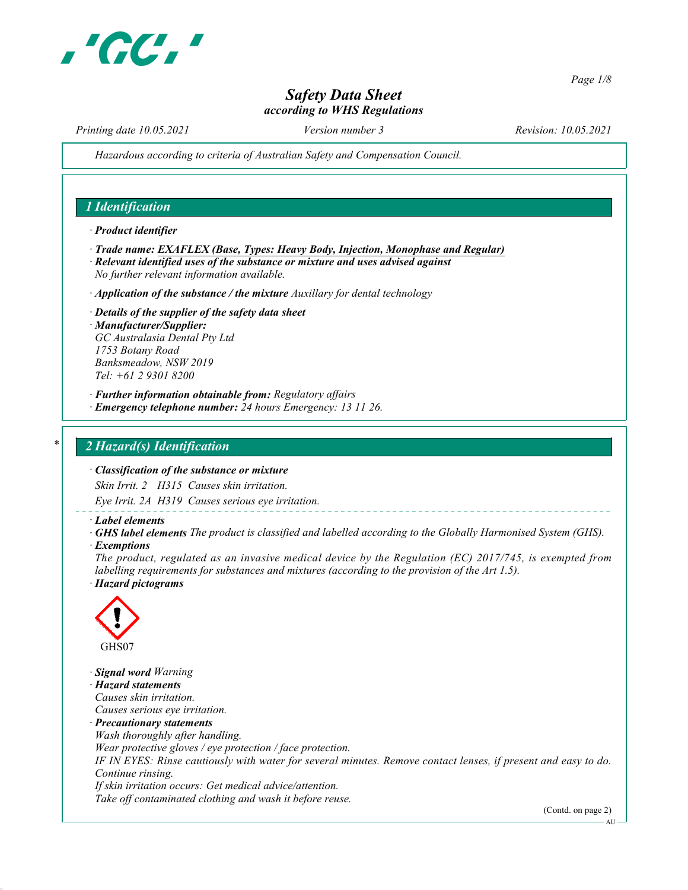

Page 1/8

# Safety Data Sheet according to WHS Regulations

Printing date 10.05.2021 Version number 3 Revision: 10.05.2021

Hazardous according to criteria of Australian Safety and Compensation Council.

## 1 Identification

· Product identifier

- · Trade name: EXAFLEX (Base, Types: Heavy Body, Injection, Monophase and Regular) · Relevant identified uses of the substance or mixture and uses advised against
- No further relevant information available.
- $\cdot$  Application of the substance / the mixture Auxillary for dental technology
- · Details of the supplier of the safety data sheet · Manufacturer/Supplier: GC Australasia Dental Pty Ltd 1753 Botany Road Banksmeadow, NSW 2019 Tel: +61 2 9301 8200
- · Further information obtainable from: Regulatory affairs
- · Emergency telephone number: 24 hours Emergency: 13 11 26.

#### 2 Hazard(s) Identification

· Classification of the substance or mixture

Skin Irrit. 2 H315 Causes skin irritation.

Eye Irrit. 2A H319 Causes serious eye irritation.

- · Label elements
- · GHS label elements The product is classified and labelled according to the Globally Harmonised System (GHS).
- **Exemptions**

The product, regulated as an invasive medical device by the Regulation (EC) 2017/745, is exempted from labelling requirements for substances and mixtures (according to the provision of the Art 1.5). · Hazard pictograms



· Signal word Warning · Hazard statements Causes skin irritation. Causes serious eye irritation. · Precautionary statements Wash thoroughly after handling. Wear protective gloves / eye protection / face protection. IF IN EYES: Rinse cautiously with water for several minutes. Remove contact lenses, if present and easy to do. Continue rinsing. If skin irritation occurs: Get medical advice/attention. Take off contaminated clothing and wash it before reuse.

(Contd. on page 2)

AU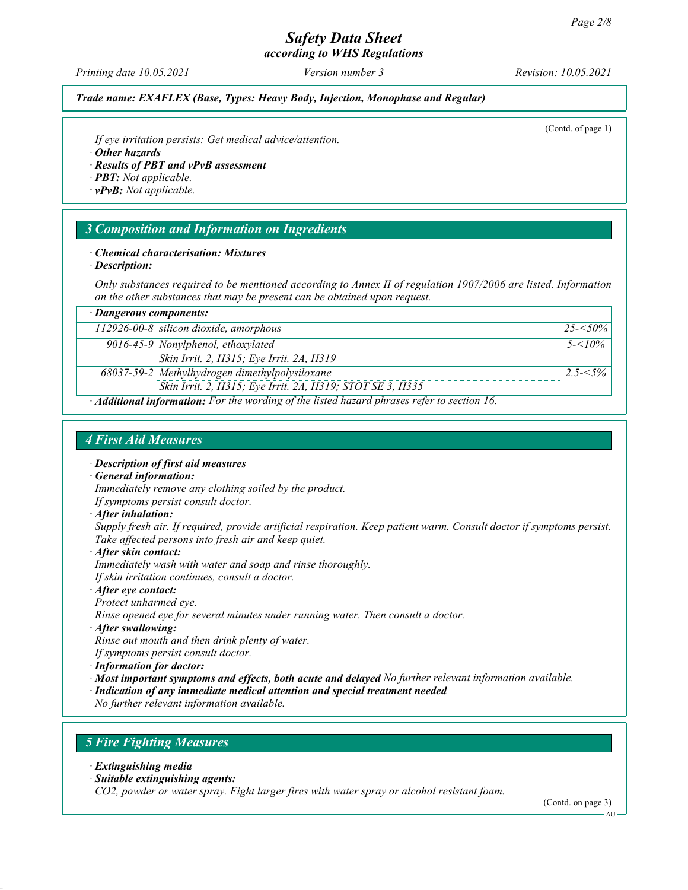Printing date 10.05.2021 Version number 3 Revision: 10.05.2021

# Trade name: EXAFLEX (Base, Types: Heavy Body, Injection, Monophase and Regular)

(Contd. of page 1)

If eye irritation persists: Get medical advice/attention.

· Other hazards

· Results of PBT and vPvB assessment

- · PBT: Not applicable.
- · vPvB: Not applicable.

# 3 Composition and Information on Ingredients

#### · Chemical characterisation: Mixtures

· Description:

Only substances required to be mentioned according to Annex II of regulation 1907/2006 are listed. Information on the other substances that may be present can be obtained upon request.

| · Dangerous components:                                                                     |                                                           |              |  |  |
|---------------------------------------------------------------------------------------------|-----------------------------------------------------------|--------------|--|--|
|                                                                                             | $112926-00-8$ silicon dioxide, amorphous                  | $25 - 50\%$  |  |  |
|                                                                                             | $\sqrt{9016-45-9}$ Nonylphenol, ethoxylated               | $5 - 5/10\%$ |  |  |
|                                                                                             | Skin Irrit. 2, H315; Eye Irrit. 2A, H319                  |              |  |  |
|                                                                                             | 68037-59-2 Methylhydrogen dimethylpolysiloxane            | $2.5 - 5\%$  |  |  |
|                                                                                             | Skin Irrit. 2, H315; Eye Irrit. 2A, H319; STOT SE 3, H335 |              |  |  |
| · Additional information: For the wording of the listed hazard phrases refer to section 16. |                                                           |              |  |  |

# 4 First Aid Measures

- · Description of first aid measures
- · General information:

Immediately remove any clothing soiled by the product.

- If symptoms persist consult doctor.
- · After inhalation:

Supply fresh air. If required, provide artificial respiration. Keep patient warm. Consult doctor if symptoms persist. Take affected persons into fresh air and keep quiet.

· After skin contact:

Immediately wash with water and soap and rinse thoroughly.

If skin irritation continues, consult a doctor.

· After eye contact:

Protect unharmed eye.

Rinse opened eye for several minutes under running water. Then consult a doctor.

· After swallowing:

Rinse out mouth and then drink plenty of water.

If symptoms persist consult doctor.

· Information for doctor:

· Most important symptoms and effects, both acute and delayed No further relevant information available.

· Indication of any immediate medical attention and special treatment needed

No further relevant information available.

# 5 Fire Fighting Measures

· Extinguishing media

· Suitable extinguishing agents:

CO2, powder or water spray. Fight larger fires with water spray or alcohol resistant foam.

(Contd. on page 3)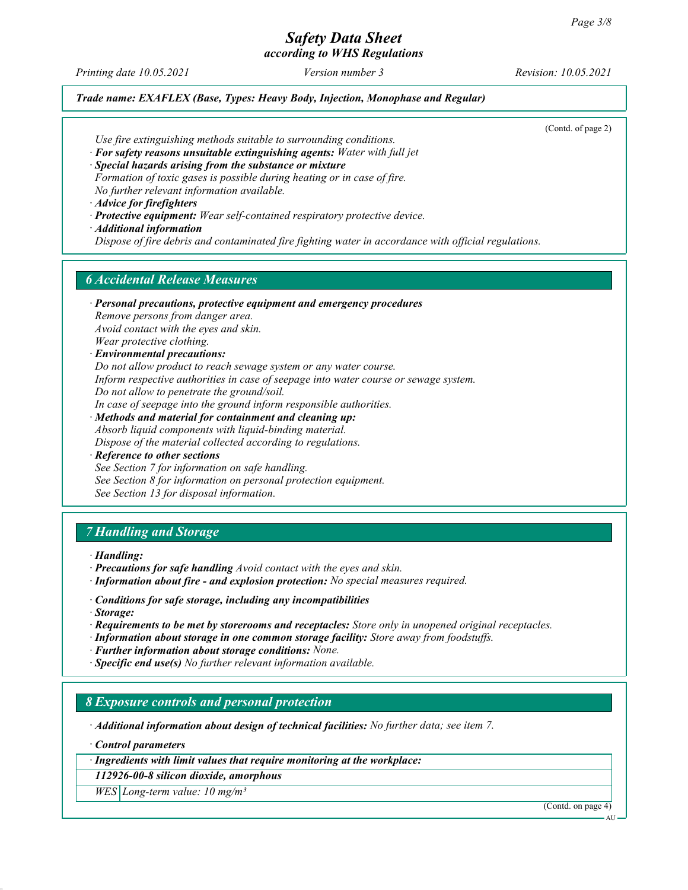# Safety Data Sheet

according to WHS Regulations

Printing date 10.05.2021 Version number 3 Revision: 10.05.2021

#### Trade name: EXAFLEX (Base, Types: Heavy Body, Injection, Monophase and Regular)

(Contd. of page 2)

Use fire extinguishing methods suitable to surrounding conditions.

· For safety reasons unsuitable extinguishing agents: Water with full jet

· Special hazards arising from the substance or mixture Formation of toxic gases is possible during heating or in case of fire. No further relevant information available.

· Advice for firefighters

- · Protective equipment: Wear self-contained respiratory protective device.
- · Additional information Dispose of fire debris and contaminated fire fighting water in accordance with official regulations.

# 6 Accidental Release Measures

· Personal precautions, protective equipment and emergency procedures Remove persons from danger area. Avoid contact with the eyes and skin. Wear protective clothing. · Environmental precautions: Do not allow product to reach sewage system or any water course.

Inform respective authorities in case of seepage into water course or sewage system. Do not allow to penetrate the ground/soil.

In case of seepage into the ground inform responsible authorities.

- · Methods and material for containment and cleaning up: Absorb liquid components with liquid-binding material. Dispose of the material collected according to regulations.
- · Reference to other sections See Section 7 for information on safe handling. See Section 8 for information on personal protection equipment.

See Section 13 for disposal information.

# 7 Handling and Storage

· Handling:

- · Precautions for safe handling Avoid contact with the eyes and skin.
- · Information about fire and explosion protection: No special measures required.
- · Conditions for safe storage, including any incompatibilities
- · Storage:
- · Requirements to be met by storerooms and receptacles: Store only in unopened original receptacles.
- · Information about storage in one common storage facility: Store away from foodstuffs.
- · Further information about storage conditions: None.
- · Specific end use(s) No further relevant information available.

### 8 Exposure controls and personal protection

· Additional information about design of technical facilities: No further data; see item 7.

· Control parameters

· Ingredients with limit values that require monitoring at the workplace:

112926-00-8 silicon dioxide, amorphous

 $WES|Long-term value: 10 mg/m<sup>3</sup>$ 

(Contd. on page 4)

**AU**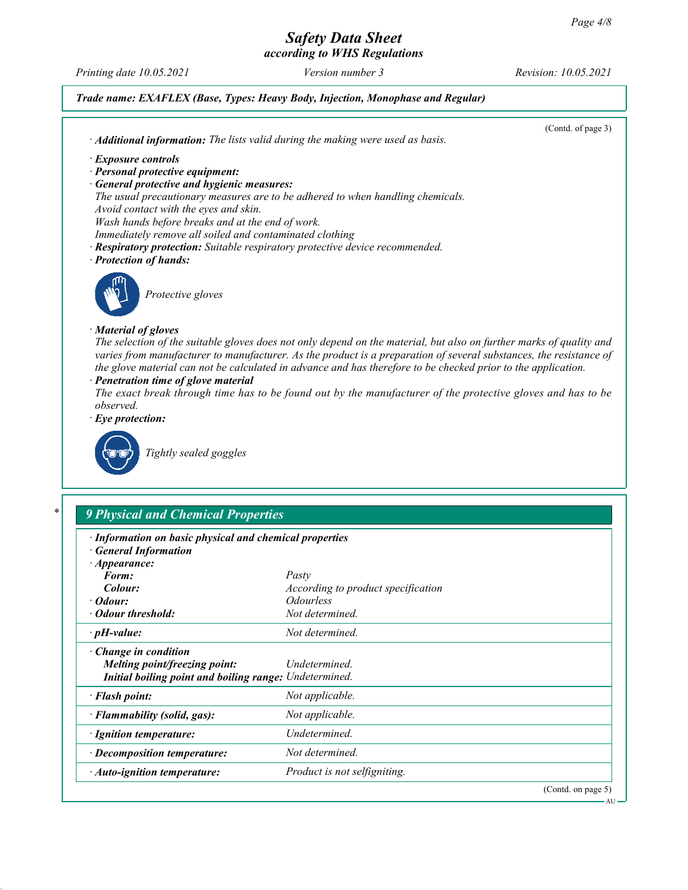Printing date 10.05.2021 Version number 3 Revision: 10.05.2021

# Trade name: EXAFLEX (Base, Types: Heavy Body, Injection, Monophase and Regular)

(Contd. of page 3) · Additional information: The lists valid during the making were used as basis. · Exposure controls · Personal protective equipment: · General protective and hygienic measures: The usual precautionary measures are to be adhered to when handling chemicals. Avoid contact with the eyes and skin. Wash hands before breaks and at the end of work. Immediately remove all soiled and contaminated clothing · Respiratory protection: Suitable respiratory protective device recommended. · Protection of hands: Protective gloves · Material of gloves The selection of the suitable gloves does not only depend on the material, but also on further marks of quality and varies from manufacturer to manufacturer. As the product is a preparation of several substances, the resistance of the glove material can not be calculated in advance and has therefore to be checked prior to the application. · Penetration time of glove material The exact break through time has to be found out by the manufacturer of the protective gloves and has to be observed. Eye protection: Tightly sealed goggles **9 Physical and Chemical Properties** 

| 9 Physical and Unemical Properties                                                                                     |                                    |  |  |  |
|------------------------------------------------------------------------------------------------------------------------|------------------------------------|--|--|--|
| · Information on basic physical and chemical properties<br><b>General Information</b>                                  |                                    |  |  |  |
| $\cdot$ Appearance:                                                                                                    |                                    |  |  |  |
| Form:                                                                                                                  | Pasty                              |  |  |  |
| Colour:                                                                                                                | According to product specification |  |  |  |
| $\cdot$ Odour:                                                                                                         | <i><b>Odourless</b></i>            |  |  |  |
| • Odour threshold:                                                                                                     | Not determined.                    |  |  |  |
| $\cdot$ pH-value:                                                                                                      | Not determined.                    |  |  |  |
| $\cdot$ Change in condition<br>Melting point/freezing point:<br>Initial boiling point and boiling range: Undetermined. | Undetermined.                      |  |  |  |
| · Flash point:                                                                                                         | Not applicable.                    |  |  |  |
| · Flammability (solid, gas):                                                                                           | Not applicable.                    |  |  |  |
| · Ignition temperature:                                                                                                | Undetermined.                      |  |  |  |
| · Decomposition temperature:                                                                                           | Not determined.                    |  |  |  |
| $\cdot$ Auto-ignition temperature:                                                                                     | Product is not selfigniting.       |  |  |  |
|                                                                                                                        | (Contd. on page 5)                 |  |  |  |

AU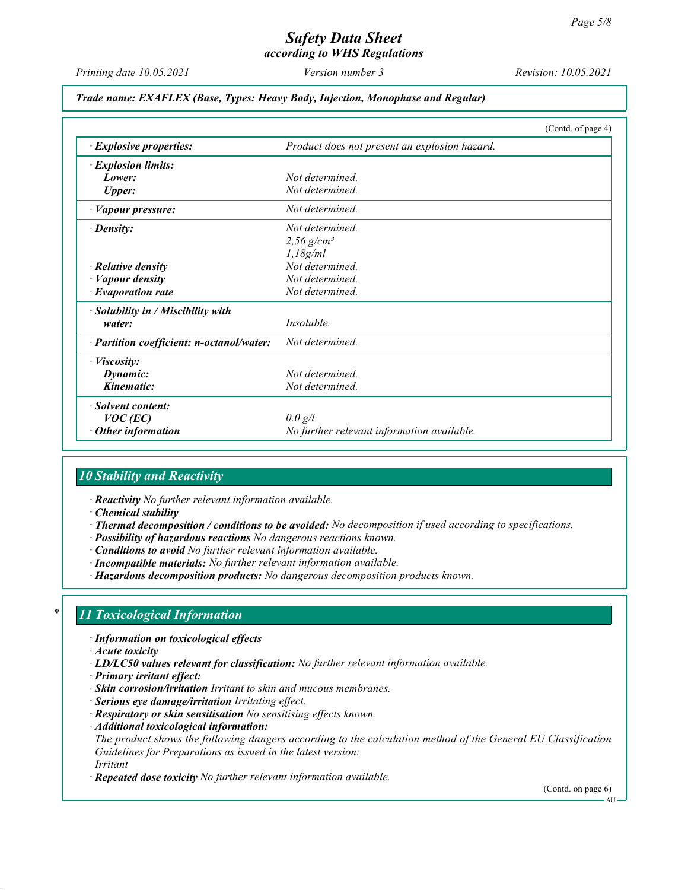Printing date 10.05.2021 Version number 3 Revision: 10.05.2021

#### Trade name: EXAFLEX (Base, Types: Heavy Body, Injection, Monophase and Regular)

|                                           | (Contd. of page 4)                            |
|-------------------------------------------|-----------------------------------------------|
| $\cdot$ Explosive properties:             | Product does not present an explosion hazard. |
| · Explosion limits:                       |                                               |
| Lower:                                    | Not determined                                |
| <b>Upper:</b>                             | Not determined.                               |
| · Vapour pressure:                        | Not determined.                               |
| $\cdot$ Density:                          | Not determined.                               |
|                                           | 2,56 $g/cm^{3}$                               |
|                                           | 1,18g/ml                                      |
| $\cdot$ Relative density                  | Not determined.                               |
| · Vapour density                          | Not determined.                               |
| $\cdot$ Evaporation rate                  | Not determined.                               |
| $\cdot$ Solubility in / Miscibility with  |                                               |
| water:                                    | <i>Insoluble.</i>                             |
| · Partition coefficient: n-octanol/water: | Not determined.                               |
| · Viscosity:                              |                                               |
| Dynamic:                                  | Not determined                                |
| Kinematic:                                | Not determined.                               |
| · Solvent content:                        |                                               |
| $VOC$ (EC)                                | 0.0 g/l                                       |
| $\cdot$ Other information                 | No further relevant information available.    |

# 10 Stability and Reactivity

· Reactivity No further relevant information available.

- · Chemical stability
- · Thermal decomposition / conditions to be avoided: No decomposition if used according to specifications.
- · Possibility of hazardous reactions No dangerous reactions known.
- · Conditions to avoid No further relevant information available.
- · Incompatible materials: No further relevant information available.
- · Hazardous decomposition products: No dangerous decomposition products known.

# 11 Toxicological Information

- · Information on toxicological effects
- · Acute toxicity
- · LD/LC50 values relevant for classification: No further relevant information available.
- · Primary irritant effect:
- · Skin corrosion/irritation Irritant to skin and mucous membranes.
- · Serious eye damage/irritation Irritating effect.
- · Respiratory or skin sensitisation No sensitising effects known.
- · Additional toxicological information: The product shows the following dangers according to the calculation method of the General EU Classification Guidelines for Preparations as issued in the latest version: Irritant
- · Repeated dose toxicity No further relevant information available.

(Contd. on page 6)

**AU**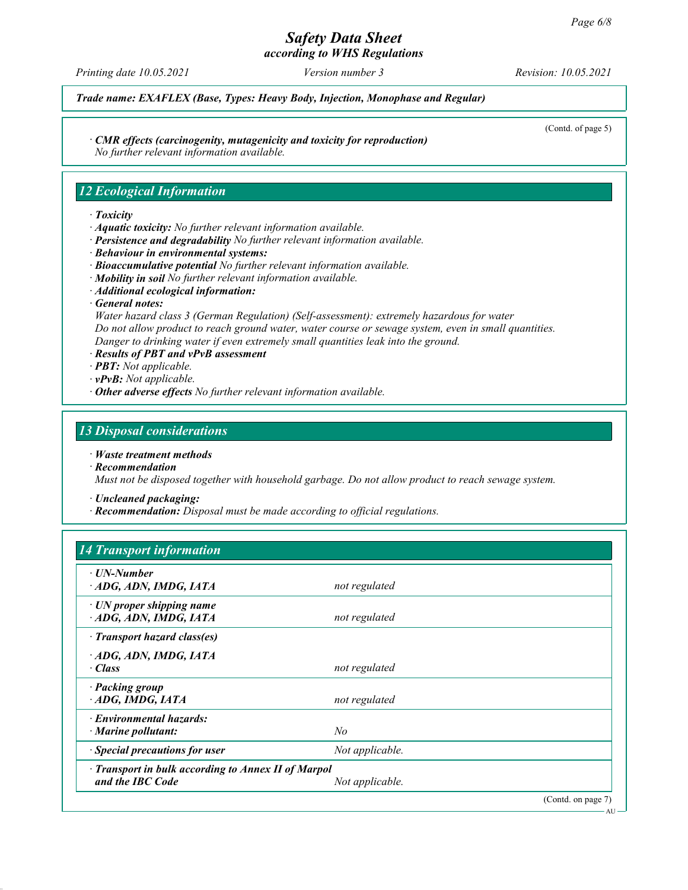# Safety Data Sheet

according to WHS Regulations

Printing date 10.05.2021 Version number 3 Revision: 10.05.2021

(Contd. of page 5)

AU

Trade name: EXAFLEX (Base, Types: Heavy Body, Injection, Monophase and Regular)

· CMR effects (carcinogenity, mutagenicity and toxicity for reproduction)

No further relevant information available.

# 12 Ecological Information

#### · Toxicity

- · Aquatic toxicity: No further relevant information available.
- · Persistence and degradability No further relevant information available.
- · Behaviour in environmental systems:
- · Bioaccumulative potential No further relevant information available.
- $\cdot$  Mobility in soil No further relevant information available.
- · Additional ecological information:
- · General notes:

Water hazard class 3 (German Regulation) (Self-assessment): extremely hazardous for water Do not allow product to reach ground water, water course or sewage system, even in small quantities. Danger to drinking water if even extremely small quantities leak into the ground.

- · Results of PBT and vPvB assessment
- · PBT: Not applicable.
- $\cdot$  vPvB: Not applicable.
- $\cdot$  Other adverse effects No further relevant information available.

# 13 Disposal considerations

- · Waste treatment methods
- · Recommendation

Must not be disposed together with household garbage. Do not allow product to reach sewage system.

· Uncleaned packaging:

· Recommendation: Disposal must be made according to official regulations.

# 14 Transport information

| $\cdot$ UN-Number<br>ADG, ADN, IMDG, IATA           | not regulated   |                    |  |  |
|-----------------------------------------------------|-----------------|--------------------|--|--|
|                                                     |                 |                    |  |  |
| $\cdot$ UN proper shipping name                     |                 |                    |  |  |
| ADG, ADN, IMDG, IATA                                | not regulated   |                    |  |  |
| · Transport hazard class(es)                        |                 |                    |  |  |
| ADG, ADN, IMDG, IATA                                |                 |                    |  |  |
| · Class                                             | not regulated   |                    |  |  |
|                                                     |                 |                    |  |  |
| · Packing group                                     |                 |                    |  |  |
| ADG, IMDG, IATA                                     | not regulated   |                    |  |  |
| · Environmental hazards:                            |                 |                    |  |  |
| $\cdot$ Marine pollutant:                           | No              |                    |  |  |
| · Special precautions for user                      | Not applicable. |                    |  |  |
| · Transport in bulk according to Annex II of Marpol |                 |                    |  |  |
| and the IBC Code                                    | Not applicable. |                    |  |  |
|                                                     |                 | (Contd. on page 7) |  |  |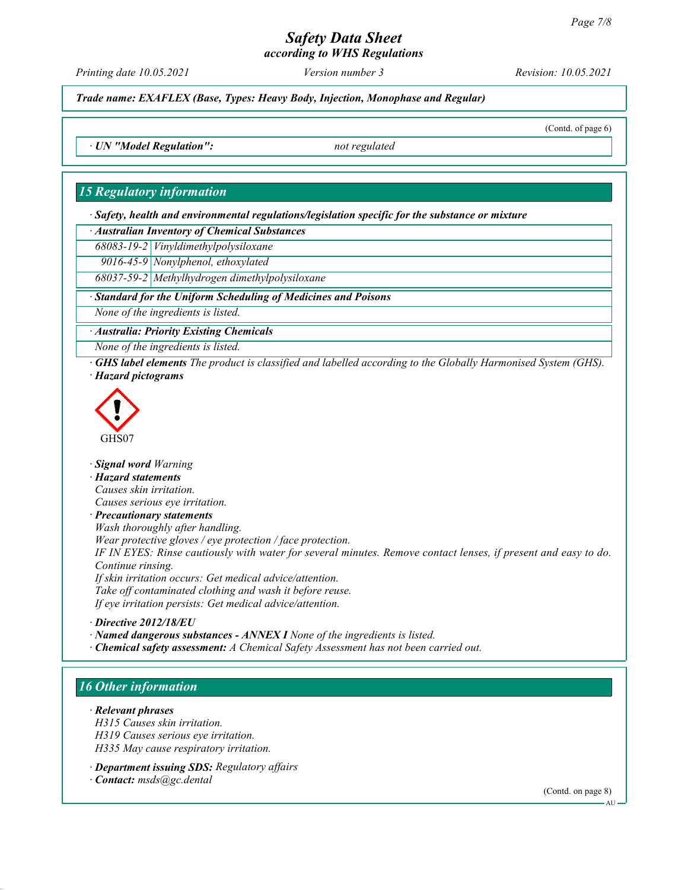# Safety Data Sheet

according to WHS Regulations

Printing date 10.05.2021 Version number 3 Revision: 10.05.2021

Trade name: EXAFLEX (Base, Types: Heavy Body, Injection, Monophase and Regular)

(Contd. of page 6)

· UN "Model Regulation": not regulated

## 15 Regulatory information

· Safety, health and environmental regulations/legislation specific for the substance or mixture

· Australian Inventory of Chemical Substances

68083-19-2 Vinyldimethylpolysiloxane

9016-45-9 Nonylphenol, ethoxylated

68037-59-2 Methylhydrogen dimethylpolysiloxane

#### Standard for the Uniform Scheduling of Medicines and Poisons

None of the ingredients is listed.

· Australia: Priority Existing Chemicals

None of the ingredients is listed.

· GHS label elements The product is classified and labelled according to the Globally Harmonised System (GHS). · Hazard pictograms



· Signal word Warning

· Hazard statements

Causes skin irritation.

Causes serious eye irritation.

· Precautionary statements

Wash thoroughly after handling.

Wear protective gloves / eye protection / face protection.

IF IN EYES: Rinse cautiously with water for several minutes. Remove contact lenses, if present and easy to do. Continue rinsing.

If skin irritation occurs: Get medical advice/attention. Take off contaminated clothing and wash it before reuse. If eye irritation persists: Get medical advice/attention.

· Directive 2012/18/EU

· Named dangerous substances - ANNEX I None of the ingredients is listed.

· Chemical safety assessment: A Chemical Safety Assessment has not been carried out.

# 16 Other information

· Relevant phrases H315 Causes skin irritation. H319 Causes serious eye irritation. H335 May cause respiratory irritation.

· Department issuing SDS: Regulatory affairs

· Contact: msds@gc.dental

(Contd. on page 8)

AU